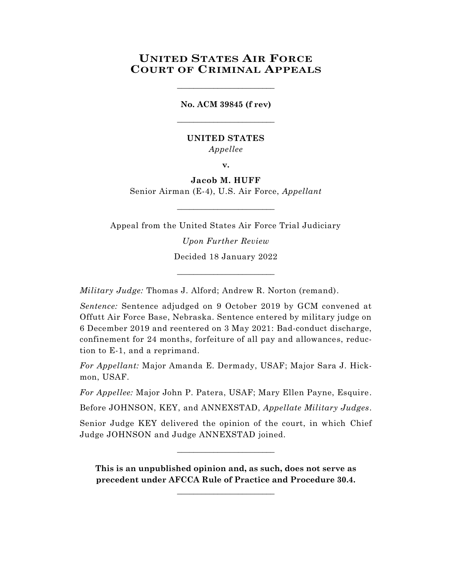# **UNITED STATES AIR FORCE COURT OF CRIMINAL APPEALS**

**No. ACM 39845 (f rev)** \_\_\_\_\_\_\_\_\_\_\_\_\_\_\_\_\_\_\_\_\_\_\_\_

\_\_\_\_\_\_\_\_\_\_\_\_\_\_\_\_\_\_\_\_\_\_\_\_

# **UNITED STATES** *Appellee*

**v.**

**Jacob M. HUFF** Senior Airman (E-4), U.S. Air Force, *Appellant*

Appeal from the United States Air Force Trial Judiciary

 $\_$ 

*Upon Further Review* Decided 18 January 2022

\_\_\_\_\_\_\_\_\_\_\_\_\_\_\_\_\_\_\_\_\_\_\_\_

*Military Judge:* Thomas J. Alford; Andrew R. Norton (remand).

*Sentence:* Sentence adjudged on 9 October 2019 by GCM convened at Offutt Air Force Base, Nebraska. Sentence entered by military judge on 6 December 2019 and reentered on 3 May 2021: Bad-conduct discharge, confinement for 24 months, forfeiture of all pay and allowances, reduction to E-1, and a reprimand.

*For Appellant:* Major Amanda E. Dermady, USAF; Major Sara J. Hickmon, USAF.

*For Appellee:* Major John P. Patera, USAF; Mary Ellen Payne, Esquire.

Before JOHNSON, KEY, and ANNEXSTAD, *Appellate Military Judges*.

Senior Judge KEY delivered the opinion of the court, in which Chief Judge JOHNSON and Judge ANNEXSTAD joined.

 $\_$ 

**This is an unpublished opinion and, as such, does not serve as precedent under AFCCA Rule of Practice and Procedure 30.4.** 

**\_\_\_\_\_\_\_\_\_\_\_\_\_\_\_\_\_\_\_\_\_\_\_\_**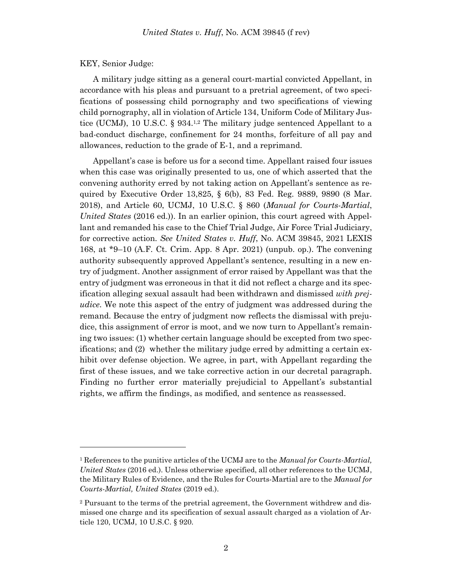### KEY, Senior Judge:

l

A military judge sitting as a general court-martial convicted Appellant, in accordance with his pleas and pursuant to a pretrial agreement, of two specifications of possessing child pornography and two specifications of viewing child pornography, all in violation of Article 134, Uniform Code of Military Justice (UCMJ), 10 U.S.C. § 934.<sup>1,2</sup> The military judge sentenced Appellant to a bad-conduct discharge, confinement for 24 months, forfeiture of all pay and allowances, reduction to the grade of E-1, and a reprimand.

Appellant's case is before us for a second time. Appellant raised four issues when this case was originally presented to us, one of which asserted that the convening authority erred by not taking action on Appellant's sentence as required by Executive Order 13,825, § 6(b), 83 Fed. Reg. 9889, 9890 (8 Mar. 2018), and Article 60, UCMJ, 10 U.S.C. § 860 (*Manual for Courts-Martial*, *United States* (2016 ed.)). In an earlier opinion, this court agreed with Appellant and remanded his case to the Chief Trial Judge, Air Force Trial Judiciary, for corrective action. *See United States v. Huff*, No. ACM 39845, 2021 LEXIS 168, at \*9–10 (A.F. Ct. Crim. App. 8 Apr. 2021) (unpub. op.). The convening authority subsequently approved Appellant's sentence, resulting in a new entry of judgment. Another assignment of error raised by Appellant was that the entry of judgment was erroneous in that it did not reflect a charge and its specification alleging sexual assault had been withdrawn and dismissed *with prejudice*. We note this aspect of the entry of judgment was addressed during the remand. Because the entry of judgment now reflects the dismissal with prejudice, this assignment of error is moot, and we now turn to Appellant's remaining two issues: (1) whether certain language should be excepted from two specifications; and (2) whether the military judge erred by admitting a certain exhibit over defense objection. We agree, in part, with Appellant regarding the first of these issues, and we take corrective action in our decretal paragraph. Finding no further error materially prejudicial to Appellant's substantial rights, we affirm the findings, as modified, and sentence as reassessed.

<sup>1</sup> References to the punitive articles of the UCMJ are to the *Manual for Courts-Martial, United States* (2016 ed.). Unless otherwise specified, all other references to the UCMJ, the Military Rules of Evidence, and the Rules for Courts-Martial are to the *Manual for Courts-Martial, United States* (2019 ed.).

<sup>2</sup> Pursuant to the terms of the pretrial agreement, the Government withdrew and dismissed one charge and its specification of sexual assault charged as a violation of Article 120, UCMJ, 10 U.S.C. § 920.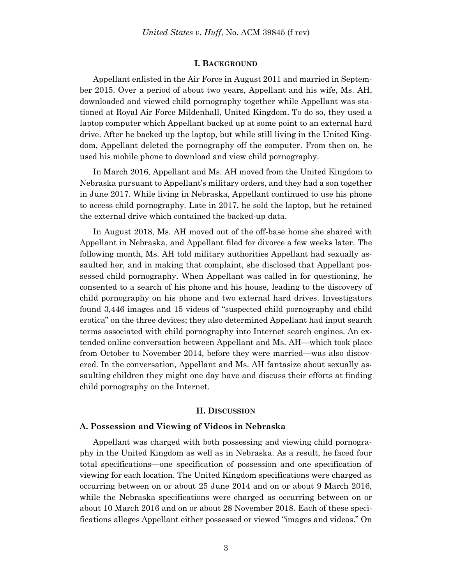#### **I. BACKGROUND**

Appellant enlisted in the Air Force in August 2011 and married in September 2015. Over a period of about two years, Appellant and his wife, Ms. AH, downloaded and viewed child pornography together while Appellant was stationed at Royal Air Force Mildenhall, United Kingdom. To do so, they used a laptop computer which Appellant backed up at some point to an external hard drive. After he backed up the laptop, but while still living in the United Kingdom, Appellant deleted the pornography off the computer. From then on, he used his mobile phone to download and view child pornography.

In March 2016, Appellant and Ms. AH moved from the United Kingdom to Nebraska pursuant to Appellant's military orders, and they had a son together in June 2017. While living in Nebraska, Appellant continued to use his phone to access child pornography. Late in 2017, he sold the laptop, but he retained the external drive which contained the backed-up data.

In August 2018, Ms. AH moved out of the off-base home she shared with Appellant in Nebraska, and Appellant filed for divorce a few weeks later. The following month, Ms. AH told military authorities Appellant had sexually assaulted her, and in making that complaint, she disclosed that Appellant possessed child pornography. When Appellant was called in for questioning, he consented to a search of his phone and his house, leading to the discovery of child pornography on his phone and two external hard drives. Investigators found 3,446 images and 15 videos of "suspected child pornography and child erotica" on the three devices; they also determined Appellant had input search terms associated with child pornography into Internet search engines. An extended online conversation between Appellant and Ms. AH—which took place from October to November 2014, before they were married—was also discovered. In the conversation, Appellant and Ms. AH fantasize about sexually assaulting children they might one day have and discuss their efforts at finding child pornography on the Internet.

### **II. DISCUSSION**

### **A. Possession and Viewing of Videos in Nebraska**

Appellant was charged with both possessing and viewing child pornography in the United Kingdom as well as in Nebraska. As a result, he faced four total specifications—one specification of possession and one specification of viewing for each location. The United Kingdom specifications were charged as occurring between on or about 25 June 2014 and on or about 9 March 2016, while the Nebraska specifications were charged as occurring between on or about 10 March 2016 and on or about 28 November 2018. Each of these specifications alleges Appellant either possessed or viewed "images and videos." On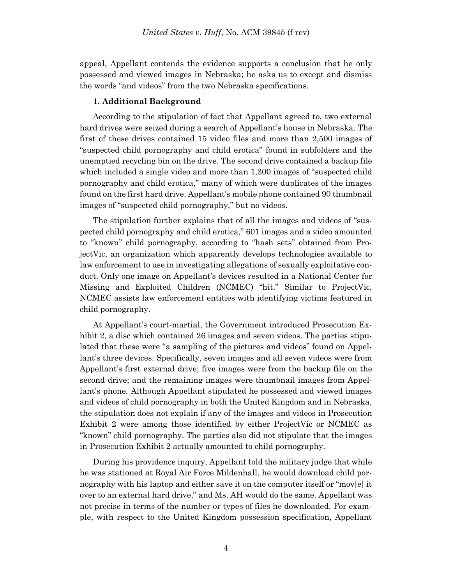appeal, Appellant contends the evidence supports a conclusion that he only possessed and viewed images in Nebraska; he asks us to except and dismiss the words "and videos" from the two Nebraska specifications.

# **1. Additional Background**

According to the stipulation of fact that Appellant agreed to, two external hard drives were seized during a search of Appellant's house in Nebraska. The first of these drives contained 15 video files and more than 2,500 images of "suspected child pornography and child erotica" found in subfolders and the unemptied recycling bin on the drive. The second drive contained a backup file which included a single video and more than 1,300 images of "suspected child pornography and child erotica," many of which were duplicates of the images found on the first hard drive. Appellant's mobile phone contained 90 thumbnail images of "suspected child pornography," but no videos.

The stipulation further explains that of all the images and videos of "suspected child pornography and child erotica," 601 images and a video amounted to "known" child pornography, according to "hash sets" obtained from ProjectVic, an organization which apparently develops technologies available to law enforcement to use in investigating allegations of sexually exploitative conduct. Only one image on Appellant's devices resulted in a National Center for Missing and Exploited Children (NCMEC) "hit." Similar to ProjectVic, NCMEC assists law enforcement entities with identifying victims featured in child pornography.

At Appellant's court-martial, the Government introduced Prosecution Exhibit 2, a disc which contained 26 images and seven videos. The parties stipulated that these were "a sampling of the pictures and videos" found on Appellant's three devices. Specifically, seven images and all seven videos were from Appellant's first external drive; five images were from the backup file on the second drive; and the remaining images were thumbnail images from Appellant's phone. Although Appellant stipulated he possessed and viewed images and videos of child pornography in both the United Kingdom and in Nebraska, the stipulation does not explain if any of the images and videos in Prosecution Exhibit 2 were among those identified by either ProjectVic or NCMEC as "known" child pornography. The parties also did not stipulate that the images in Prosecution Exhibit 2 actually amounted to child pornography.

During his providence inquiry, Appellant told the military judge that while he was stationed at Royal Air Force Mildenhall, he would download child pornography with his laptop and either save it on the computer itself or "mov[e] it over to an external hard drive," and Ms. AH would do the same. Appellant was not precise in terms of the number or types of files he downloaded. For example, with respect to the United Kingdom possession specification, Appellant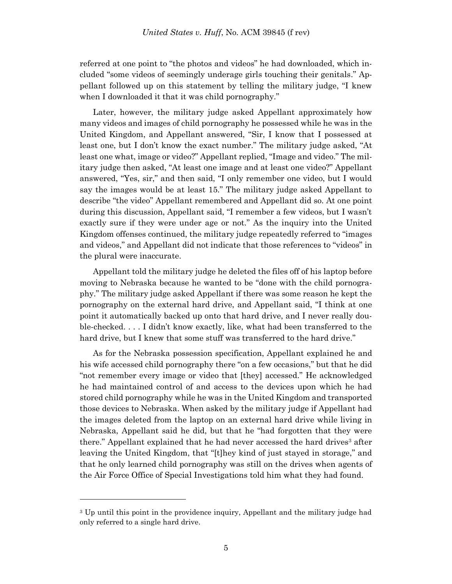referred at one point to "the photos and videos" he had downloaded, which included "some videos of seemingly underage girls touching their genitals." Appellant followed up on this statement by telling the military judge, "I knew when I downloaded it that it was child pornography."

Later, however, the military judge asked Appellant approximately how many videos and images of child pornography he possessed while he was in the United Kingdom, and Appellant answered, "Sir, I know that I possessed at least one, but I don't know the exact number." The military judge asked, "At least one what, image or video?" Appellant replied, "Image and video." The military judge then asked, "At least one image and at least one video?" Appellant answered, "Yes, sir," and then said, "I only remember one video, but I would say the images would be at least 15." The military judge asked Appellant to describe "the video" Appellant remembered and Appellant did so. At one point during this discussion, Appellant said, "I remember a few videos, but I wasn't exactly sure if they were under age or not." As the inquiry into the United Kingdom offenses continued, the military judge repeatedly referred to "images and videos," and Appellant did not indicate that those references to "videos" in the plural were inaccurate.

Appellant told the military judge he deleted the files off of his laptop before moving to Nebraska because he wanted to be "done with the child pornography." The military judge asked Appellant if there was some reason he kept the pornography on the external hard drive, and Appellant said, "I think at one point it automatically backed up onto that hard drive, and I never really double-checked. . . . I didn't know exactly, like, what had been transferred to the hard drive, but I knew that some stuff was transferred to the hard drive."

As for the Nebraska possession specification, Appellant explained he and his wife accessed child pornography there "on a few occasions," but that he did "not remember every image or video that [they] accessed." He acknowledged he had maintained control of and access to the devices upon which he had stored child pornography while he was in the United Kingdom and transported those devices to Nebraska. When asked by the military judge if Appellant had the images deleted from the laptop on an external hard drive while living in Nebraska, Appellant said he did, but that he "had forgotten that they were there." Appellant explained that he had never accessed the hard drives<sup>3</sup> after leaving the United Kingdom, that "[t]hey kind of just stayed in storage," and that he only learned child pornography was still on the drives when agents of the Air Force Office of Special Investigations told him what they had found.

l

<sup>3</sup> Up until this point in the providence inquiry, Appellant and the military judge had only referred to a single hard drive.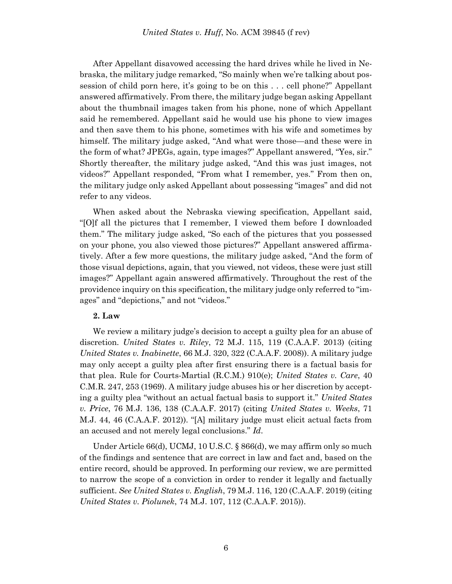After Appellant disavowed accessing the hard drives while he lived in Nebraska, the military judge remarked, "So mainly when we're talking about possession of child porn here, it's going to be on this . . . cell phone?" Appellant answered affirmatively. From there, the military judge began asking Appellant about the thumbnail images taken from his phone, none of which Appellant said he remembered. Appellant said he would use his phone to view images and then save them to his phone, sometimes with his wife and sometimes by himself. The military judge asked, "And what were those—and these were in the form of what? JPEGs, again, type images?" Appellant answered, "Yes, sir." Shortly thereafter, the military judge asked, "And this was just images, not videos?" Appellant responded, "From what I remember, yes." From then on, the military judge only asked Appellant about possessing "images" and did not refer to any videos.

When asked about the Nebraska viewing specification, Appellant said, "[O]f all the pictures that I remember, I viewed them before I downloaded them." The military judge asked, "So each of the pictures that you possessed on your phone, you also viewed those pictures?" Appellant answered affirmatively. After a few more questions, the military judge asked, "And the form of those visual depictions, again, that you viewed, not videos, these were just still images?" Appellant again answered affirmatively. Throughout the rest of the providence inquiry on this specification, the military judge only referred to "images" and "depictions," and not "videos."

# **2. Law**

We review a military judge's decision to accept a guilty plea for an abuse of discretion. *United States v. Riley*, 72 M.J. 115, 119 (C.A.A.F. 2013) (citing *United States v. Inabinette*, 66 M.J. 320, 322 (C.A.A.F. 2008)). A military judge may only accept a guilty plea after first ensuring there is a factual basis for that plea. Rule for Courts-Martial (R.C.M.) 910(e); *United States v. Care*, 40 C.M.R. 247, 253 (1969). A military judge abuses his or her discretion by accepting a guilty plea "without an actual factual basis to support it." *United States v. Price*, 76 M.J. 136, 138 (C.A.A.F. 2017) (citing *United States v. Weeks*, 71 M.J. 44, 46 (C.A.A.F. 2012)). "[A] military judge must elicit actual facts from an accused and not merely legal conclusions." *Id*.

Under Article 66(d), UCMJ, 10 U.S.C. § 866(d), we may affirm only so much of the findings and sentence that are correct in law and fact and, based on the entire record, should be approved. In performing our review, we are permitted to narrow the scope of a conviction in order to render it legally and factually sufficient. *See United States v. English*, 79 M.J. 116, 120 (C.A.A.F. 2019) (citing *United States v. Piolunek*, 74 M.J. 107, 112 (C.A.A.F. 2015)).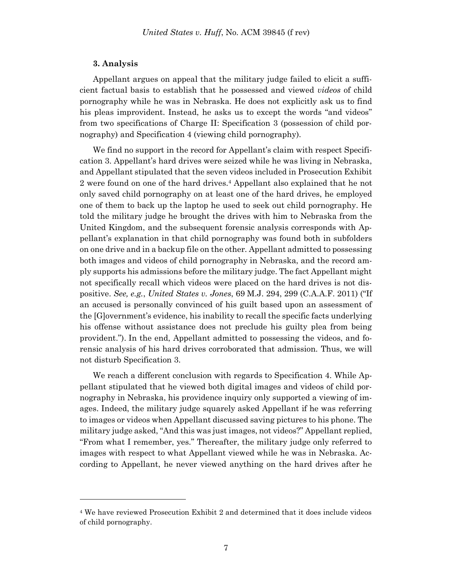### **3. Analysis**

l

Appellant argues on appeal that the military judge failed to elicit a sufficient factual basis to establish that he possessed and viewed *videos* of child pornography while he was in Nebraska. He does not explicitly ask us to find his pleas improvident. Instead, he asks us to except the words "and videos" from two specifications of Charge II: Specification 3 (possession of child pornography) and Specification 4 (viewing child pornography).

We find no support in the record for Appellant's claim with respect Specification 3. Appellant's hard drives were seized while he was living in Nebraska, and Appellant stipulated that the seven videos included in Prosecution Exhibit 2 were found on one of the hard drives.<sup>4</sup> Appellant also explained that he not only saved child pornography on at least one of the hard drives, he employed one of them to back up the laptop he used to seek out child pornography. He told the military judge he brought the drives with him to Nebraska from the United Kingdom, and the subsequent forensic analysis corresponds with Appellant's explanation in that child pornography was found both in subfolders on one drive and in a backup file on the other. Appellant admitted to possessing both images and videos of child pornography in Nebraska, and the record amply supports his admissions before the military judge. The fact Appellant might not specifically recall which videos were placed on the hard drives is not dispositive. *See, e.g.*, *United States v. Jones*, 69 M.J. 294, 299 (C.A.A.F. 2011) ("If an accused is personally convinced of his guilt based upon an assessment of the [G]overnment's evidence, his inability to recall the specific facts underlying his offense without assistance does not preclude his guilty plea from being provident."). In the end, Appellant admitted to possessing the videos, and forensic analysis of his hard drives corroborated that admission. Thus, we will not disturb Specification 3.

We reach a different conclusion with regards to Specification 4. While Appellant stipulated that he viewed both digital images and videos of child pornography in Nebraska, his providence inquiry only supported a viewing of images. Indeed, the military judge squarely asked Appellant if he was referring to images or videos when Appellant discussed saving pictures to his phone. The military judge asked, "And this was just images, not videos?" Appellant replied, "From what I remember, yes." Thereafter, the military judge only referred to images with respect to what Appellant viewed while he was in Nebraska. According to Appellant, he never viewed anything on the hard drives after he

<sup>4</sup> We have reviewed Prosecution Exhibit 2 and determined that it does include videos of child pornography.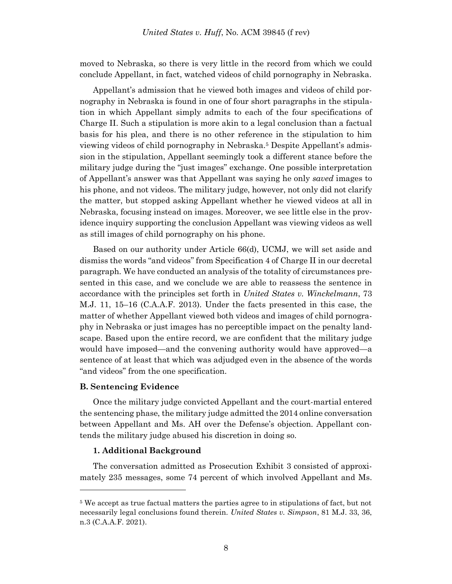moved to Nebraska, so there is very little in the record from which we could conclude Appellant, in fact, watched videos of child pornography in Nebraska.

Appellant's admission that he viewed both images and videos of child pornography in Nebraska is found in one of four short paragraphs in the stipulation in which Appellant simply admits to each of the four specifications of Charge II. Such a stipulation is more akin to a legal conclusion than a factual basis for his plea, and there is no other reference in the stipulation to him viewing videos of child pornography in Nebraska.<sup>5</sup> Despite Appellant's admission in the stipulation, Appellant seemingly took a different stance before the military judge during the "just images" exchange. One possible interpretation of Appellant's answer was that Appellant was saying he only *saved* images to his phone, and not videos. The military judge, however, not only did not clarify the matter, but stopped asking Appellant whether he viewed videos at all in Nebraska, focusing instead on images. Moreover, we see little else in the providence inquiry supporting the conclusion Appellant was viewing videos as well as still images of child pornography on his phone.

Based on our authority under Article 66(d), UCMJ, we will set aside and dismiss the words "and videos" from Specification 4 of Charge II in our decretal paragraph. We have conducted an analysis of the totality of circumstances presented in this case, and we conclude we are able to reassess the sentence in accordance with the principles set forth in *United States v. Winckelmann*, 73 M.J. 11, 15–16 (C.A.A.F. 2013). Under the facts presented in this case, the matter of whether Appellant viewed both videos and images of child pornography in Nebraska or just images has no perceptible impact on the penalty landscape. Based upon the entire record, we are confident that the military judge would have imposed—and the convening authority would have approved—a sentence of at least that which was adjudged even in the absence of the words "and videos" from the one specification.

### **B. Sentencing Evidence**

l

Once the military judge convicted Appellant and the court-martial entered the sentencing phase, the military judge admitted the 2014 online conversation between Appellant and Ms. AH over the Defense's objection. Appellant contends the military judge abused his discretion in doing so.

# **1. Additional Background**

The conversation admitted as Prosecution Exhibit 3 consisted of approximately 235 messages, some 74 percent of which involved Appellant and Ms.

<sup>5</sup> We accept as true factual matters the parties agree to in stipulations of fact, but not necessarily legal conclusions found therein. *United States v. Simpson*, 81 M.J. 33, 36, n.3 (C.A.A.F. 2021).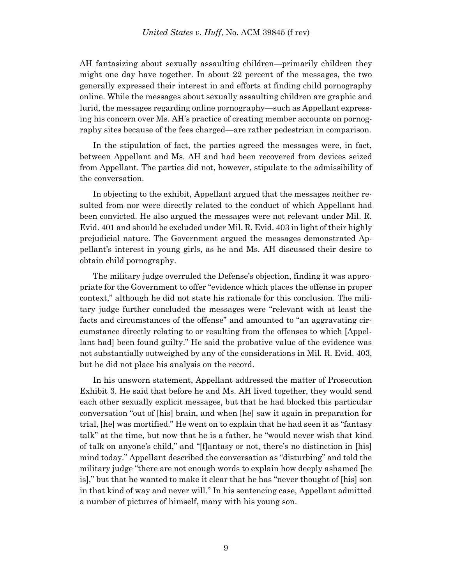AH fantasizing about sexually assaulting children—primarily children they might one day have together. In about 22 percent of the messages, the two generally expressed their interest in and efforts at finding child pornography online. While the messages about sexually assaulting children are graphic and lurid, the messages regarding online pornography—such as Appellant expressing his concern over Ms. AH's practice of creating member accounts on pornography sites because of the fees charged—are rather pedestrian in comparison.

In the stipulation of fact, the parties agreed the messages were, in fact, between Appellant and Ms. AH and had been recovered from devices seized from Appellant. The parties did not, however, stipulate to the admissibility of the conversation.

In objecting to the exhibit, Appellant argued that the messages neither resulted from nor were directly related to the conduct of which Appellant had been convicted. He also argued the messages were not relevant under Mil. R. Evid. 401 and should be excluded under Mil. R. Evid. 403 in light of their highly prejudicial nature. The Government argued the messages demonstrated Appellant's interest in young girls, as he and Ms. AH discussed their desire to obtain child pornography.

The military judge overruled the Defense's objection, finding it was appropriate for the Government to offer "evidence which places the offense in proper context," although he did not state his rationale for this conclusion. The military judge further concluded the messages were "relevant with at least the facts and circumstances of the offense" and amounted to "an aggravating circumstance directly relating to or resulting from the offenses to which [Appellant had] been found guilty." He said the probative value of the evidence was not substantially outweighed by any of the considerations in Mil. R. Evid. 403, but he did not place his analysis on the record.

In his unsworn statement, Appellant addressed the matter of Prosecution Exhibit 3. He said that before he and Ms. AH lived together, they would send each other sexually explicit messages, but that he had blocked this particular conversation "out of [his] brain, and when [he] saw it again in preparation for trial, [he] was mortified." He went on to explain that he had seen it as "fantasy talk" at the time, but now that he is a father, he "would never wish that kind of talk on anyone's child," and "[f]antasy or not, there's no distinction in [his] mind today." Appellant described the conversation as "disturbing" and told the military judge "there are not enough words to explain how deeply ashamed [he is]," but that he wanted to make it clear that he has "never thought of [his] son in that kind of way and never will." In his sentencing case, Appellant admitted a number of pictures of himself, many with his young son.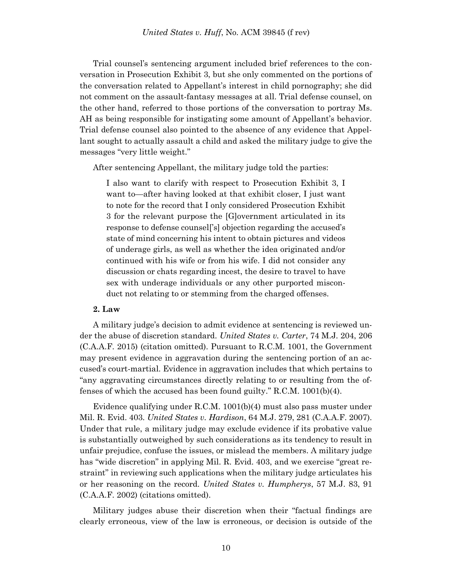Trial counsel's sentencing argument included brief references to the conversation in Prosecution Exhibit 3, but she only commented on the portions of the conversation related to Appellant's interest in child pornography; she did not comment on the assault-fantasy messages at all. Trial defense counsel, on the other hand, referred to those portions of the conversation to portray Ms. AH as being responsible for instigating some amount of Appellant's behavior. Trial defense counsel also pointed to the absence of any evidence that Appellant sought to actually assault a child and asked the military judge to give the messages "very little weight."

After sentencing Appellant, the military judge told the parties:

I also want to clarify with respect to Prosecution Exhibit 3, I want to—after having looked at that exhibit closer, I just want to note for the record that I only considered Prosecution Exhibit 3 for the relevant purpose the [G]overnment articulated in its response to defense counsel['s] objection regarding the accused's state of mind concerning his intent to obtain pictures and videos of underage girls, as well as whether the idea originated and/or continued with his wife or from his wife. I did not consider any discussion or chats regarding incest, the desire to travel to have sex with underage individuals or any other purported misconduct not relating to or stemming from the charged offenses.

### **2. Law**

A military judge's decision to admit evidence at sentencing is reviewed under the abuse of discretion standard. *United States v. Carter*, 74 M.J. 204, 206 (C.A.A.F. 2015) (citation omitted). Pursuant to R.C.M. 1001, the Government may present evidence in aggravation during the sentencing portion of an accused's court-martial. Evidence in aggravation includes that which pertains to "any aggravating circumstances directly relating to or resulting from the offenses of which the accused has been found guilty." R.C.M. 1001(b)(4).

Evidence qualifying under R.C.M. 1001(b)(4) must also pass muster under Mil. R. Evid. 403. *United States v. Hardison*, 64 M.J. 279, 281 (C.A.A.F. 2007). Under that rule, a military judge may exclude evidence if its probative value is substantially outweighed by such considerations as its tendency to result in unfair prejudice, confuse the issues, or mislead the members. A military judge has "wide discretion" in applying Mil. R. Evid. 403, and we exercise "great restraint" in reviewing such applications when the military judge articulates his or her reasoning on the record. *United States v. Humpherys*, 57 M.J. 83, 91 (C.A.A.F. 2002) (citations omitted).

Military judges abuse their discretion when their "factual findings are clearly erroneous, view of the law is erroneous, or decision is outside of the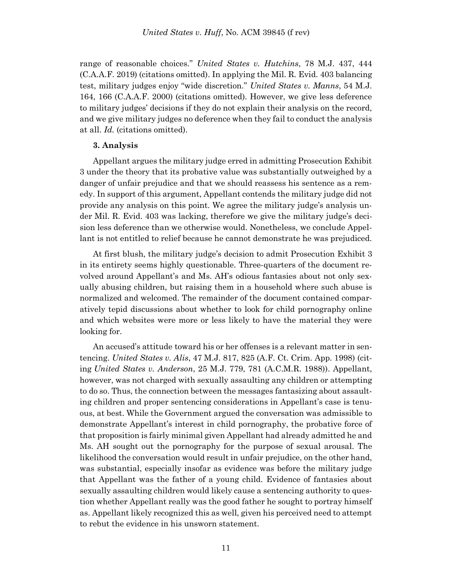range of reasonable choices." *United States v. Hutchins*, 78 M.J. 437, 444 (C.A.A.F. 2019) (citations omitted). In applying the Mil. R. Evid. 403 balancing test, military judges enjoy "wide discretion." *United States v. Manns*, 54 M.J. 164, 166 (C.A.A.F. 2000) (citations omitted). However, we give less deference to military judges' decisions if they do not explain their analysis on the record, and we give military judges no deference when they fail to conduct the analysis at all. *Id.* (citations omitted).

# **3. Analysis**

Appellant argues the military judge erred in admitting Prosecution Exhibit 3 under the theory that its probative value was substantially outweighed by a danger of unfair prejudice and that we should reassess his sentence as a remedy. In support of this argument, Appellant contends the military judge did not provide any analysis on this point. We agree the military judge's analysis under Mil. R. Evid. 403 was lacking, therefore we give the military judge's decision less deference than we otherwise would. Nonetheless, we conclude Appellant is not entitled to relief because he cannot demonstrate he was prejudiced.

At first blush, the military judge's decision to admit Prosecution Exhibit 3 in its entirety seems highly questionable. Three-quarters of the document revolved around Appellant's and Ms. AH's odious fantasies about not only sexually abusing children, but raising them in a household where such abuse is normalized and welcomed. The remainder of the document contained comparatively tepid discussions about whether to look for child pornography online and which websites were more or less likely to have the material they were looking for.

An accused's attitude toward his or her offenses is a relevant matter in sentencing. *United States v. Alis*, 47 M.J. 817, 825 (A.F. Ct. Crim. App. 1998) (citing *United States v. Anderson*, 25 M.J. 779, 781 (A.C.M.R. 1988)). Appellant, however, was not charged with sexually assaulting any children or attempting to do so. Thus, the connection between the messages fantasizing about assaulting children and proper sentencing considerations in Appellant's case is tenuous, at best. While the Government argued the conversation was admissible to demonstrate Appellant's interest in child pornography, the probative force of that proposition is fairly minimal given Appellant had already admitted he and Ms. AH sought out the pornography for the purpose of sexual arousal. The likelihood the conversation would result in unfair prejudice, on the other hand, was substantial, especially insofar as evidence was before the military judge that Appellant was the father of a young child. Evidence of fantasies about sexually assaulting children would likely cause a sentencing authority to question whether Appellant really was the good father he sought to portray himself as. Appellant likely recognized this as well, given his perceived need to attempt to rebut the evidence in his unsworn statement.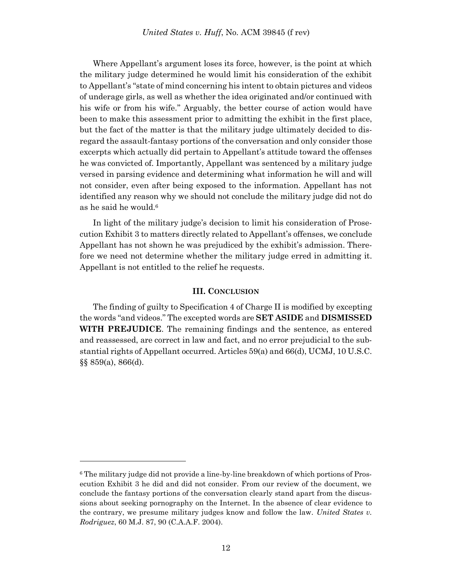Where Appellant's argument loses its force, however, is the point at which the military judge determined he would limit his consideration of the exhibit to Appellant's "state of mind concerning his intent to obtain pictures and videos of underage girls, as well as whether the idea originated and/or continued with his wife or from his wife." Arguably, the better course of action would have been to make this assessment prior to admitting the exhibit in the first place, but the fact of the matter is that the military judge ultimately decided to disregard the assault-fantasy portions of the conversation and only consider those excerpts which actually did pertain to Appellant's attitude toward the offenses he was convicted of. Importantly, Appellant was sentenced by a military judge versed in parsing evidence and determining what information he will and will not consider, even after being exposed to the information. Appellant has not identified any reason why we should not conclude the military judge did not do as he said he would.<sup>6</sup>

In light of the military judge's decision to limit his consideration of Prosecution Exhibit 3 to matters directly related to Appellant's offenses, we conclude Appellant has not shown he was prejudiced by the exhibit's admission. Therefore we need not determine whether the military judge erred in admitting it. Appellant is not entitled to the relief he requests.

### **III. CONCLUSION**

The finding of guilty to Specification 4 of Charge II is modified by excepting the words "and videos." The excepted words are **SET ASIDE** and **DISMISSED WITH PREJUDICE**. The remaining findings and the sentence, as entered and reassessed, are correct in law and fact, and no error prejudicial to the substantial rights of Appellant occurred. Articles 59(a) and 66(d), UCMJ, 10 U.S.C. §§ 859(a), 866(d).

l

<sup>6</sup> The military judge did not provide a line-by-line breakdown of which portions of Prosecution Exhibit 3 he did and did not consider. From our review of the document, we conclude the fantasy portions of the conversation clearly stand apart from the discussions about seeking pornography on the Internet. In the absence of clear evidence to the contrary, we presume military judges know and follow the law. *United States v. Rodriguez*, 60 M.J. 87, 90 (C.A.A.F. 2004).